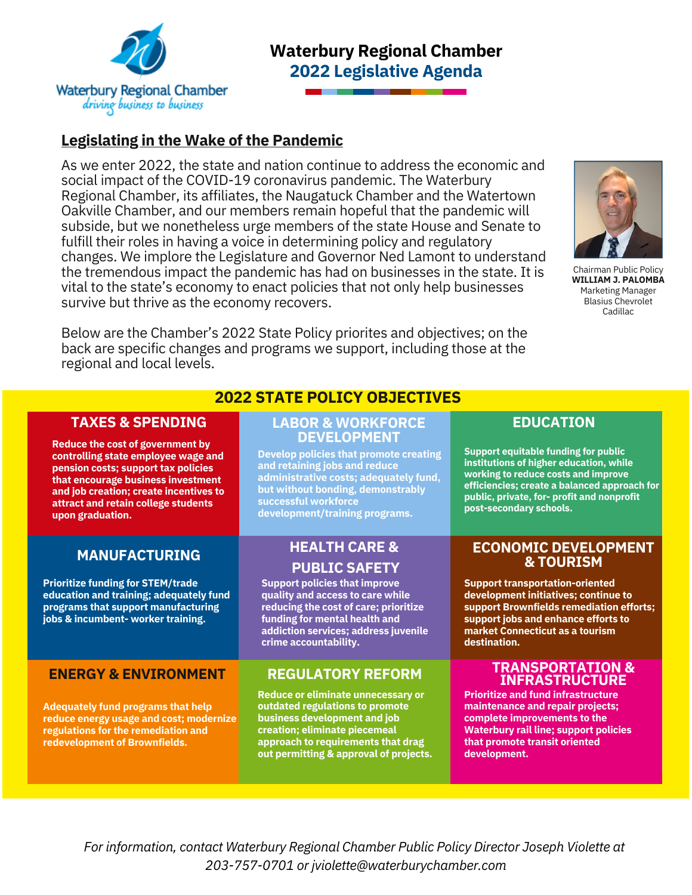

# **Waterbury Regional Chamber 2022 Legislative Agenda**

# **Legislating in the Wake of the Pandemic**

As we enter 2022, the state and nation continue to address the economic and social impact of the COVID-19 coronavirus pandemic. The Waterbury Regional Chamber, its affiliates, the Naugatuck Chamber and the Watertown Oakville Chamber, and our members remain hopeful that the pandemic will subside, but we nonetheless urge members of the state House and Senate to fulfill their roles in having a voice in determining policy and regulatory changes. We implore the Legislature and Governor Ned Lamont to understand the tremendous impact the pandemic has had on businesses in the state. It is vital to the state's economy to enact policies that not only help businesses survive but thrive as the economy recovers.

Below are the Chamber's 2022 State Policy priorites and objectives; on the back are specific changes and programs we support, including those at the regional and local levels.



Chairman Public Policy **WILLIAM J. PALOMBA** Marketing Manager Blasius Chevrolet **Cadillac** 

### **TAXES & SPENDING**

**Reduce the cost of government by controlling state employee wage and pension costs; support tax policies that encourage business investment and job creation; create incentives to attract and retain college students upon graduation.**

## **MANUFACTURING**

**Prioritize funding for STEM/trade education and training; adequately fund programs that support manufacturing jobs & incumbent- worker training.**

### **ENERGY & ENVIRONMENT**

**Adequately fund programs that help reduce energy usage and cost; modernize regulations for the remediation and redevelopment of Brownfields.**

## **2022 STATE POLICY OBJECTIVES**

#### **LABOR & WORKFORCE DEVELOPMENT**

**Develop policies that promote creating and retaining jobs and reduce administrative costs; adequately fund, but without bonding, demonstrably successful workforce development/training programs.**

## **HEALTH CARE & PUBLIC SAFETY**

**Support policies that improve quality and access to care while reducing the cost of care; prioritize funding for mental health and addiction services; address juvenile crime accountability.**

## **REGULATORY REFORM**

**Reduce or eliminate unnecessary or outdated regulations to promote business development and job creation; eliminate piecemeal approach to requirements that drag out permitting & approval of projects.**

### **EDUCATION**

**Support equitable funding for public institutions of higher education, while working to reduce costs and improve efficiencies; create a balanced approach for public, private, for- profit and nonprofit post-secondary schools.**

### **ECONOMIC DEVELOPMENT & TOURISM**

**Support transportation-oriented development initiatives; continue to support Brownfields remediation efforts; support jobs and enhance efforts to market Connecticut as a tourism destination.**

### **TRANSPORTATION & INFRASTRUCTURE**

**Prioritize and fund infrastructure maintenance and repair projects; complete improvements to the Waterbury rail line; support policies that promote transit oriented development.**

*For information, contact Waterbury Regional Chamber Public Policy Director Joseph Violette at 203-757-0701 or jviolette@waterburychamber.com*